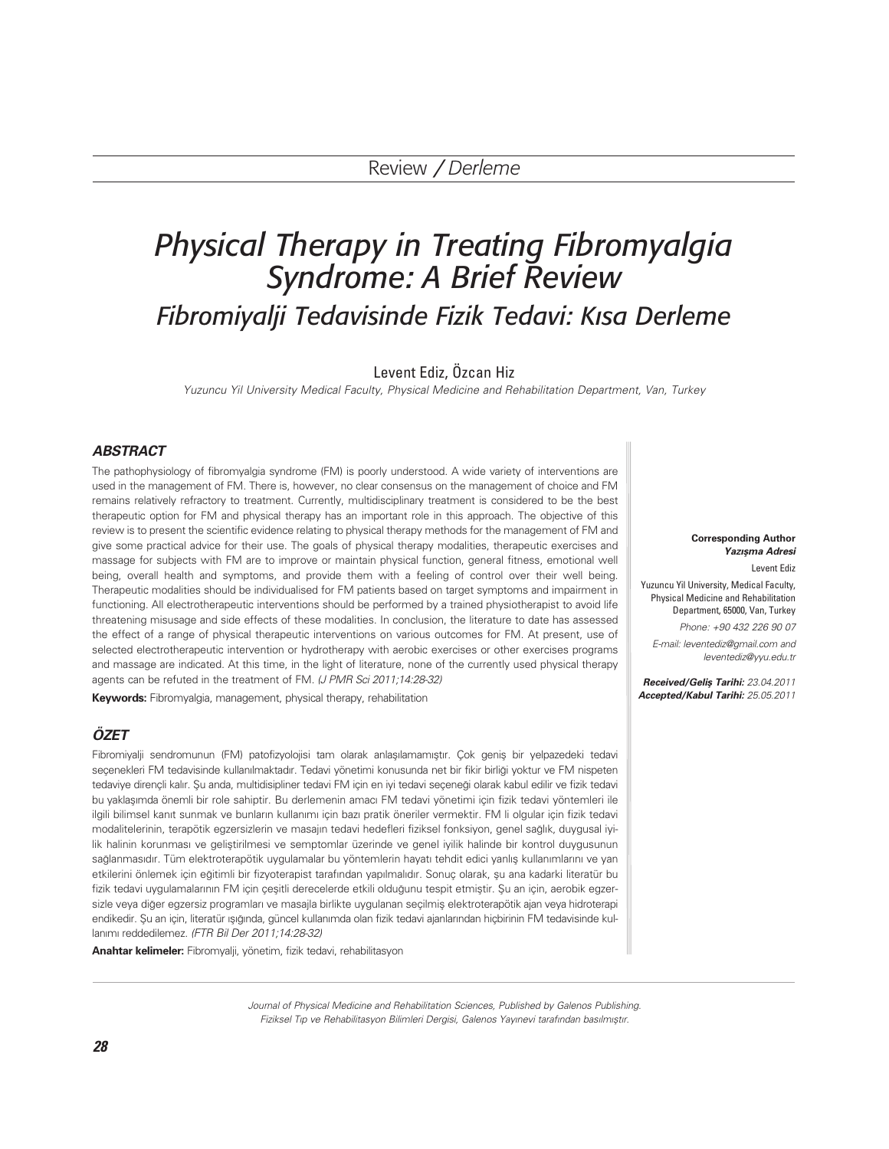# *Physical Therapy in Treating Fibromyalgia Syndrome: A Brief Review Fibromiyalji Tedavisinde Fizik Tedavi: K›sa Derleme*

# Levent Ediz, Özcan Hiz

Yuzuncu Yil University Medical Faculty, Physical Medicine and Rehabilitation Department, Van, Turkey

# **ABSTRACT**

The pathophysiology of fibromyalgia syndrome (FM) is poorly understood. A wide variety of interventions are used in the management of FM. There is, however, no clear consensus on the management of choice and FM remains relatively refractory to treatment. Currently, multidisciplinary treatment is considered to be the best therapeutic option for FM and physical therapy has an important role in this approach. The objective of this review is to present the scientific evidence relating to physical therapy methods for the management of FM and give some practical advice for their use. The goals of physical therapy modalities, therapeutic exercises and massage for subjects with FM are to improve or maintain physical function, general fitness, emotional well being, overall health and symptoms, and provide them with a feeling of control over their well being. Therapeutic modalities should be individualised for FM patients based on target symptoms and impairment in functioning. All electrotherapeutic interventions should be performed by a trained physiotherapist to avoid life threatening misusage and side effects of these modalities. In conclusion, the literature to date has assessed the effect of a range of physical therapeutic interventions on various outcomes for FM. At present, use of selected electrotherapeutic intervention or hydrotherapy with aerobic exercises or other exercises programs and massage are indicated. At this time, in the light of literature, none of the currently used physical therapy agents can be refuted in the treatment of FM. (J PMR Sci 2011;14:28-32)

**Keywords:** Fibromyalgia, management, physical therapy, rehabilitation

# **ÖZET**

Fibromiyalji sendromunun (FM) patofizyolojisi tam olarak anlasılamamıştır. Cok genis bir yelpazedeki tedavi secenekleri FM tedavisinde kullanılmaktadır. Tedavi yönetimi konusunda net bir fikir birliği yoktur ve FM nispeten tedaviye dirençli kalır. Şu anda, multidisipliner tedavi FM için en iyi tedavi seçeneği olarak kabul edilir ve fizik tedavi bu yaklasımda önemli bir role sahiptir. Bu derlemenin amacı FM tedavi yönetimi için fizik tedavi yöntemleri ile ilgili bilimsel kanıt sunmak ve bunların kullanımı için bazı pratik öneriler vermektir. FM li olgular için fizik tedavi modalitelerinin, terapötik egzersizlerin ve masajın tedavi hedefleri fiziksel fonksiyon, genel sağlık, duygusal iyilik halinin korunması ve gelistirilmesi ve semptomlar üzerinde ve genel iyilik halinde bir kontrol duygusunun sağlanmasıdır. Tüm elektroterapötik uygulamalar bu yöntemlerin hayatı tehdit edici yanlış kullanımlarını ve yan etkilerini önlemek için eğitimli bir fizyoterapist tarafından yapılmalıdır. Sonuç olarak, su ana kadarki literatür bu fizik tedavi uygulamalarının FM için çesitli derecelerde etkili olduğunu tespit etmiştir. Su an için, aerobik egzersizle veya diğer egzersiz programları ve masajla birlikte uygulanan seçilmiş elektroterapötik ajan veya hidroterapi endikedir. Şu an için, literatür ışığında, güncel kullanımda olan fizik tedavi ajanlarından hiçbirinin FM tedavisinde kullanımı reddedilemez. (FTR Bil Der 2011;14:28-32)

**Anahtar kelimeler:** Fibromyalji, yönetim, fizik tedavi, rehabilitasyon

**Corresponding Author Yazışma Adresi** Levent Ediz

Yuzuncu Yil University, Medical Faculty, Physical Medicine and Rehabilitation Department, 65000, Van, Turkey Phone: +90 432 226 90 07 E-mail: leventediz@gmail.com and leventediz@yyu.edu.tr

**Received/Gelis Tarihi: 23.04.2011 Accepted/Kabul Tarihi:** 25.05.2011

Journal of Physical Medicine and Rehabilitation Sciences, Published by Galenos Publishing. Fiziksel Tip ve Rehabilitasyon Bilimleri Dergisi, Galenos Yayınevi tarafından basılmıştır.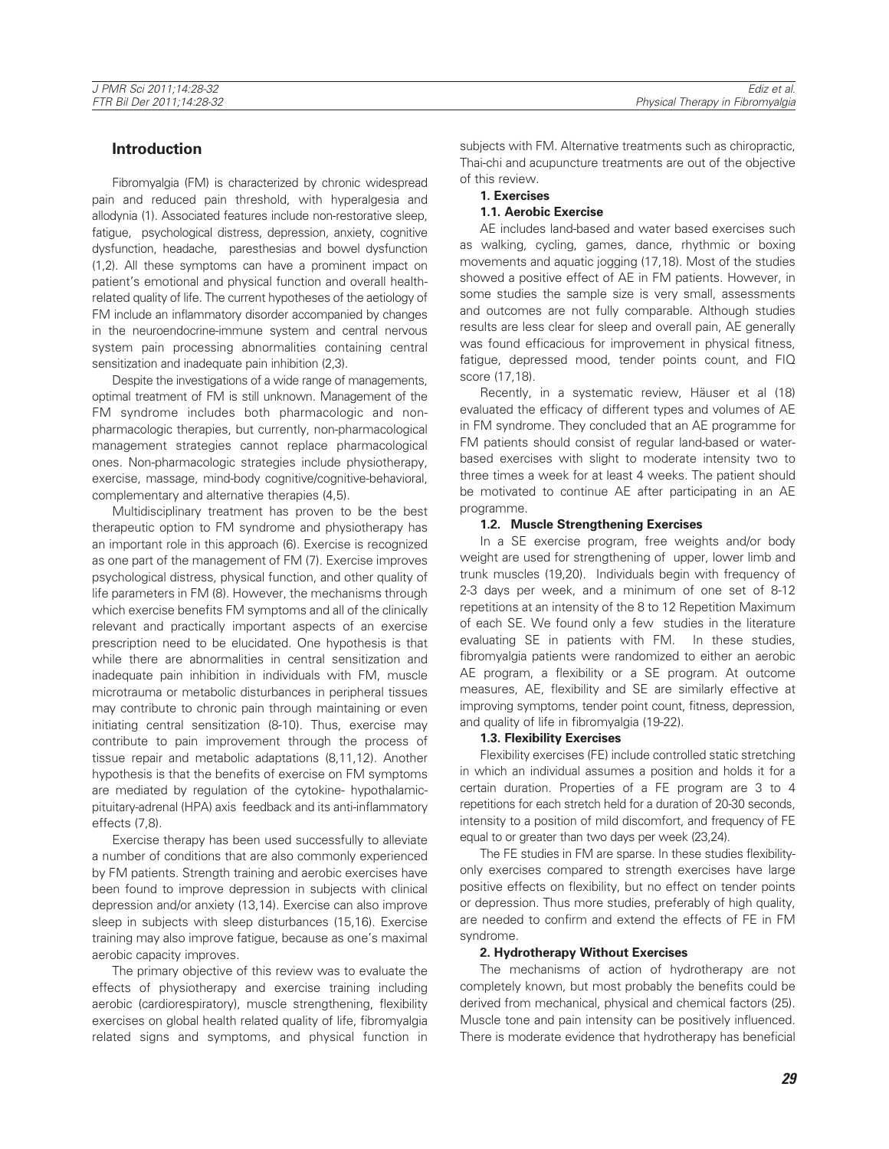# **Introduction**

Fibromyalgia (FM) is characterized by chronic widespread pain and reduced pain threshold, with hyperalgesia and allodynia (1). Associated features include non-restorative sleep, fatigue, psychological distress, depression, anxiety, cognitive dysfunction, headache, paresthesias and bowel dysfunction (1,2). All these symptoms can have a prominent impact on patient's emotional and physical function and overall healthrelated quality of life. The current hypotheses of the aetiology of FM include an inflammatory disorder accompanied by changes in the neuroendocrine-immune system and central nervous system pain processing abnormalities containing central sensitization and inadequate pain inhibition (2,3).

Despite the investigations of a wide range of managements, optimal treatment of FM is still unknown. Management of the FM syndrome includes both pharmacologic and nonpharmacologic therapies, but currently, non-pharmacological management strategies cannot replace pharmacological ones. Non-pharmacologic strategies include physiotherapy, exercise, massage, mind-body cognitive/cognitive-behavioral, complementary and alternative therapies (4,5).

Multidisciplinary treatment has proven to be the best therapeutic option to FM syndrome and physiotherapy has an important role in this approach (6). Exercise is recognized as one part of the management of FM (7). Exercise improves psychological distress, physical function, and other quality of life parameters in FM (8). However, the mechanisms through which exercise benefits FM symptoms and all of the clinically relevant and practically important aspects of an exercise prescription need to be elucidated. One hypothesis is that while there are abnormalities in central sensitization and inadequate pain inhibition in individuals with FM, muscle microtrauma or metabolic disturbances in peripheral tissues may contribute to chronic pain through maintaining or even initiating central sensitization (8-10). Thus, exercise may contribute to pain improvement through the process of tissue repair and metabolic adaptations (8,11,12). Another hypothesis is that the benefits of exercise on FM symptoms are mediated by regulation of the cytokine- hypothalamicpituitary-adrenal (HPA) axis feedback and its anti-inflammatory effects (7,8).

Exercise therapy has been used successfully to alleviate a number of conditions that are also commonly experienced by FM patients. Strength training and aerobic exercises have been found to improve depression in subjects with clinical depression and/or anxiety (13,14). Exercise can also improve sleep in subjects with sleep disturbances (15,16). Exercise training may also improve fatigue, because as one's maximal aerobic capacity improves.

The primary objective of this review was to evaluate the effects of physiotherapy and exercise training including aerobic (cardiorespiratory), muscle strengthening, flexibility exercises on global health related quality of life, fibromyalgia related signs and symptoms, and physical function in subjects with FM. Alternative treatments such as chiropractic, Thai-chi and acupuncture treatments are out of the objective of this review.

- **1. Exercises**
- **1.1. Aerobic Exercise**

AE includes land-based and water based exercises such as walking, cycling, games, dance, rhythmic or boxing movements and aquatic jogging (17,18). Most of the studies showed a positive effect of AE in FM patients. However, in some studies the sample size is very small, assessments and outcomes are not fully comparable. Although studies results are less clear for sleep and overall pain, AE generally was found efficacious for improvement in physical fitness, fatigue, depressed mood, tender points count, and FIQ score (17,18).

Recently, in a systematic review, Häuser et al (18) evaluated the efficacy of different types and volumes of AE in FM syndrome. They concluded that an AE programme for FM patients should consist of regular land-based or waterbased exercises with slight to moderate intensity two to three times a week for at least 4 weeks. The patient should be motivated to continue AE after participating in an AE programme.

## **1.2. Muscle Strengthening Exercises**

In a SE exercise program, free weights and/or body weight are used for strengthening of upper, lower limb and trunk muscles (19,20). Individuals begin with frequency of 2-3 days per week, and a minimum of one set of 8-12 repetitions at an intensity of the 8 to 12 Repetition Maximum of each SE. We found only a few studies in the literature evaluating SE in patients with FM. In these studies, fibromyalgia patients were randomized to either an aerobic AE program, a flexibility or a SE program. At outcome measures, AE, flexibility and SE are similarly effective at improving symptoms, tender point count, fitness, depression, and quality of life in fibromyalgia (19-22).

## **1.3. Flexibility Exercises**

Flexibility exercises (FE) include controlled static stretching in which an individual assumes a position and holds it for a certain duration. Properties of a FE program are 3 to 4 repetitions for each stretch held for a duration of 20-30 seconds, intensity to a position of mild discomfort, and frequency of FE equal to or greater than two days per week (23,24).

The FE studies in FM are sparse. In these studies flexibilityonly exercises compared to strength exercises have large positive effects on flexibility, but no effect on tender points or depression. Thus more studies, preferably of high quality, are needed to confirm and extend the effects of FE in FM syndrome.

## **2. Hydrotherapy Without Exercises**

The mechanisms of action of hydrotherapy are not completely known, but most probably the benefits could be derived from mechanical, physical and chemical factors (25). Muscle tone and pain intensity can be positively influenced. There is moderate evidence that hydrotherapy has beneficial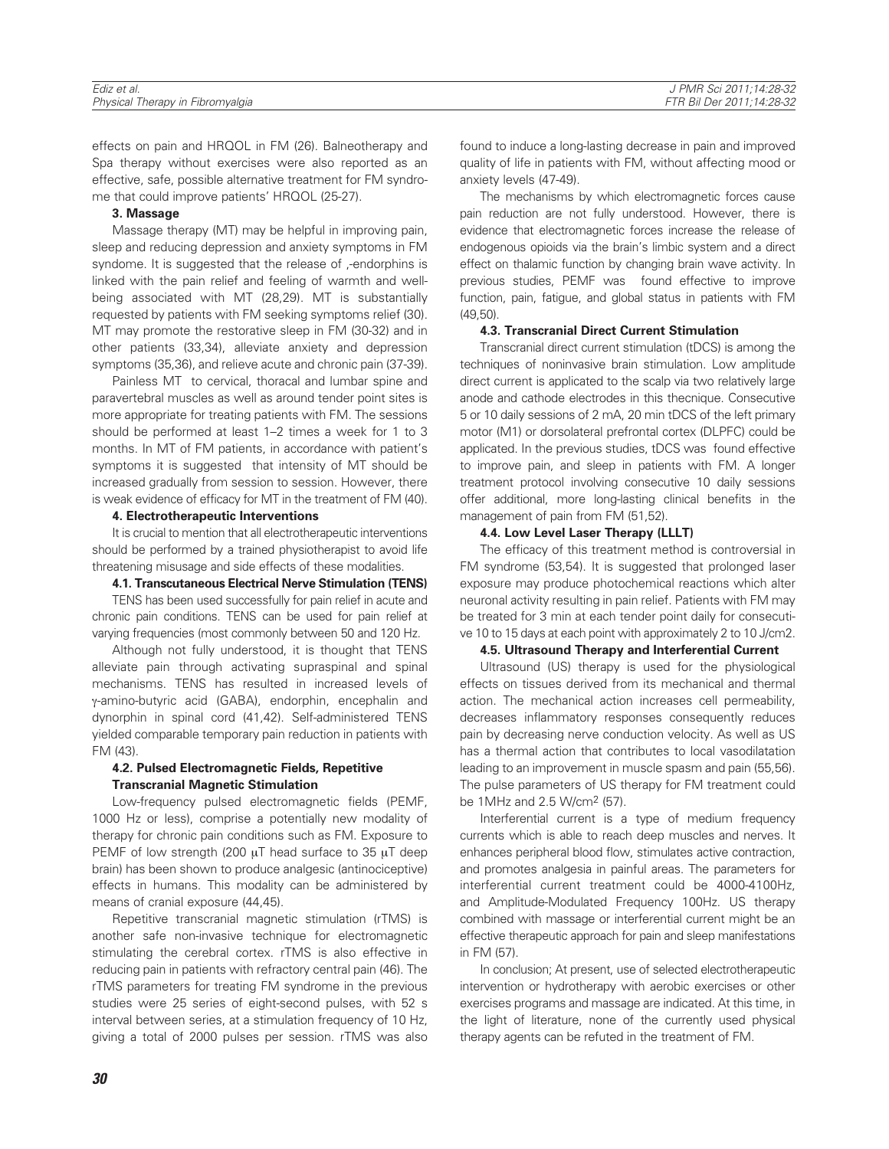| Ediz et al.                      | PMR Sci 2011:14:28-32 י   |
|----------------------------------|---------------------------|
| Physical Therapy in Fibromyalgia | FTR Bil Der 2011:14:28-32 |

effects on pain and HRQOL in FM (26). Balneotherapy and Spa therapy without exercises were also reported as an effective, safe, possible alternative treatment for FM syndrome that could improve patients' HRQOL (25-27).

#### **3. Massage**

Massage therapy (MT) may be helpful in improving pain, sleep and reducing depression and anxiety symptoms in FM syndome. It is suggested that the release of ,-endorphins is linked with the pain relief and feeling of warmth and wellbeing associated with MT (28,29). MT is substantially requested by patients with FM seeking symptoms relief (30). MT may promote the restorative sleep in FM (30-32) and in other patients (33,34), alleviate anxiety and depression symptoms (35,36), and relieve acute and chronic pain (37-39).

Painless MT to cervical, thoracal and lumbar spine and paravertebral muscles as well as around tender point sites is more appropriate for treating patients with FM. The sessions should be performed at least 1–2 times a week for 1 to 3 months. In MT of FM patients, in accordance with patient's symptoms it is suggested that intensity of MT should be increased gradually from session to session. However, there is weak evidence of efficacy for MT in the treatment of FM (40).

#### **4. Electrotherapeutic Interventions**

It is crucial to mention that all electrotherapeutic interventions should be performed by a trained physiotherapist to avoid life threatening misusage and side effects of these modalities.

## **4.1. Transcutaneous Electrical Nerve Stimulation (TENS)**

TENS has been used successfully for pain relief in acute and chronic pain conditions. TENS can be used for pain relief at varying frequencies (most commonly between 50 and 120 Hz.

Although not fully understood, it is thought that TENS alleviate pain through activating supraspinal and spinal mechanisms. TENS has resulted in increased levels of γ-amino-butyric acid (GABA), endorphin, encephalin and dynorphin in spinal cord (41,42). Self-administered TENS yielded comparable temporary pain reduction in patients with FM (43).

# **4.2. Pulsed Electromagnetic Fields, Repetitive Transcranial Magnetic Stimulation**

Low-frequency pulsed electromagnetic fields (PEMF, 1000 Hz or less), comprise a potentially new modality of therapy for chronic pain conditions such as FM. Exposure to PEMF of low strength (200 μT head surface to 35 μT deep brain) has been shown to produce analgesic (antinociceptive) effects in humans. This modality can be administered by means of cranial exposure (44,45).

Repetitive transcranial magnetic stimulation (rTMS) is another safe non-invasive technique for electromagnetic stimulating the cerebral cortex. rTMS is also effective in reducing pain in patients with refractory central pain (46). The rTMS parameters for treating FM syndrome in the previous studies were 25 series of eight-second pulses, with 52 s interval between series, at a stimulation frequency of 10 Hz, giving a total of 2000 pulses per session. rTMS was also found to induce a long-lasting decrease in pain and improved quality of life in patients with FM, without affecting mood or anxiety levels (47-49).

The mechanisms by which electromagnetic forces cause pain reduction are not fully understood. However, there is evidence that electromagnetic forces increase the release of endogenous opioids via the brain's limbic system and a direct effect on thalamic function by changing brain wave activity. In previous studies, PEMF was found effective to improve function, pain, fatigue, and global status in patients with FM (49,50).

### **4.3. Transcranial Direct Current Stimulation**

Transcranial direct current stimulation (tDCS) is among the techniques of noninvasive brain stimulation. Low amplitude direct current is applicated to the scalp via two relatively large anode and cathode electrodes in this thecnique. Consecutive 5 or 10 daily sessions of 2 mA, 20 min tDCS of the left primary motor (M1) or dorsolateral prefrontal cortex (DLPFC) could be applicated. In the previous studies, tDCS was found effective to improve pain, and sleep in patients with FM. A longer treatment protocol involving consecutive 10 daily sessions offer additional, more long-lasting clinical benefits in the management of pain from FM (51,52).

## **4.4. Low Level Laser Therapy (LLLT)**

The efficacy of this treatment method is controversial in FM syndrome (53,54). It is suggested that prolonged laser exposure may produce photochemical reactions which alter neuronal activity resulting in pain relief. Patients with FM may be treated for 3 min at each tender point daily for consecutive 10 to 15 days at each point with approximately 2 to 10 J/cm2.

#### **4.5. Ultrasound Therapy and Interferential Current**

Ultrasound (US) therapy is used for the physiological effects on tissues derived from its mechanical and thermal action. The mechanical action increases cell permeability, decreases inflammatory responses consequently reduces pain by decreasing nerve conduction velocity. As well as US has a thermal action that contributes to local vasodilatation leading to an improvement in muscle spasm and pain (55,56). The pulse parameters of US therapy for FM treatment could be 1MHz and 2.5 W/cm2 (57).

Interferential current is a type of medium frequency currents which is able to reach deep muscles and nerves. It enhances peripheral blood flow, stimulates active contraction, and promotes analgesia in painful areas. The parameters for interferential current treatment could be 4000-4100Hz, and Amplitude-Modulated Frequency 100Hz. US therapy combined with massage or interferential current might be an effective therapeutic approach for pain and sleep manifestations in FM (57).

In conclusion; At present, use of selected electrotherapeutic intervention or hydrotherapy with aerobic exercises or other exercises programs and massage are indicated. At this time, in the light of literature, none of the currently used physical therapy agents can be refuted in the treatment of FM.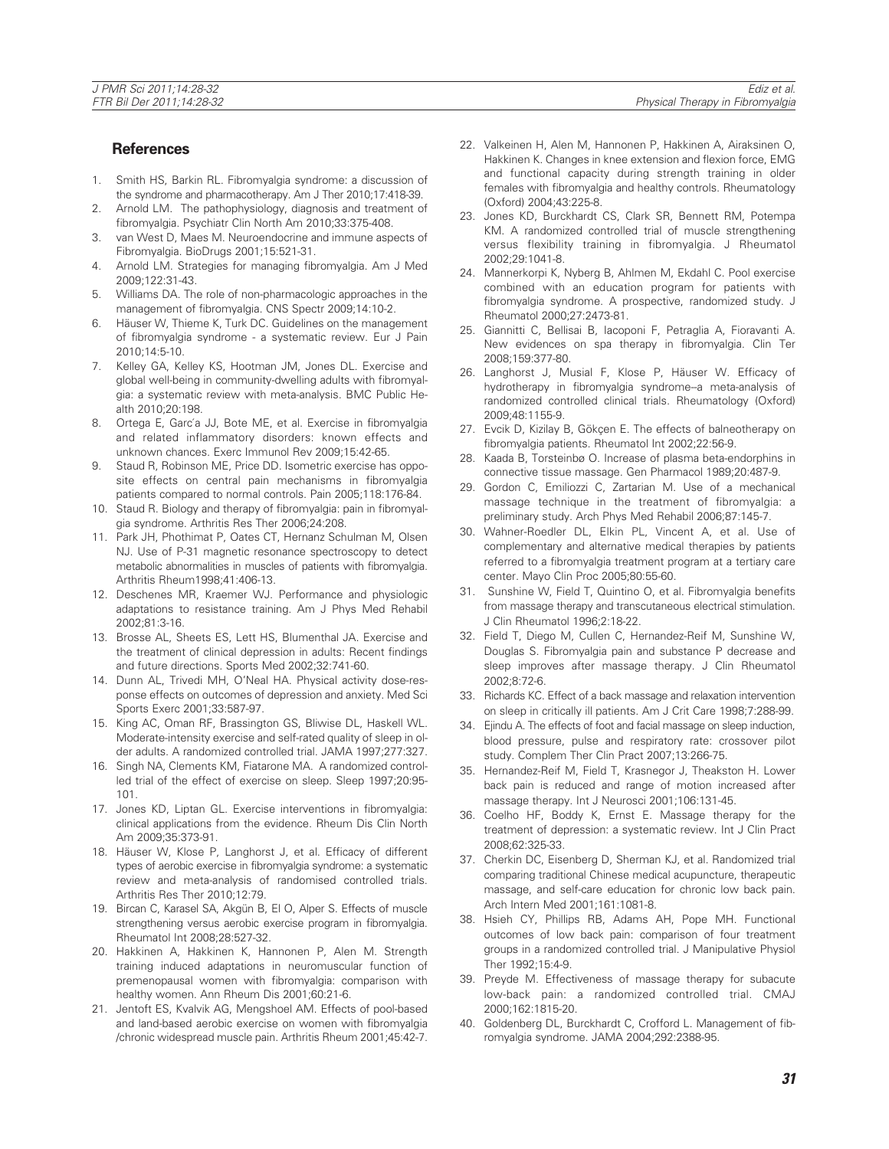# **References**

- 1. Smith HS, Barkin RL. Fibromyalgia syndrome: a discussion of the syndrome and pharmacotherapy. Am J Ther 2010;17:418-39.
- 2. Arnold LM. The pathophysiology, diagnosis and treatment of fibromyalgia. Psychiatr Clin North Am 2010;33:375-408.
- 3. van West D, Maes M. Neuroendocrine and immune aspects of Fibromyalgia. BioDrugs 2001;15:521-31.
- 4. Arnold LM. Strategies for managing fibromyalgia. Am J Med 2009;122:31-43.
- 5. Williams DA. The role of non-pharmacologic approaches in the management of fibromyalgia. CNS Spectr 2009;14:10-2.
- 6. Häuser W, Thieme K, Turk DC. Guidelines on the management of fibromyalgia syndrome - a systematic review. Eur J Pain 2010;14:5-10.
- 7. Kelley GA, Kelley KS, Hootman JM, Jones DL. Exercise and global well-being in community-dwelling adults with fibromyalgia: a systematic review with meta-analysis. BMC Public Health 2010;20:198.
- 8. Ortega E, García JJ, Bote ME, et al. Exercise in fibromyalgia and related inflammatory disorders: known effects and unknown chances. Exerc Immunol Rev 2009;15:42-65.
- 9. Staud R, Robinson ME, Price DD. Isometric exercise has opposite effects on central pain mechanisms in fibromyalgia patients compared to normal controls. Pain 2005;118:176-84.
- 10. Staud R. Biology and therapy of fibromyalgia: pain in fibromyalgia syndrome. Arthritis Res Ther 2006;24:208.
- 11. Park JH, Phothimat P, Oates CT, Hernanz Schulman M, Olsen NJ. Use of P-31 magnetic resonance spectroscopy to detect metabolic abnormalities in muscles of patients with fibromyalgia. Arthritis Rheum1998;41:406-13.
- 12. Deschenes MR, Kraemer WJ. Performance and physiologic adaptations to resistance training. Am J Phys Med Rehabil 2002;81:3-16.
- 13. Brosse AL, Sheets ES, Lett HS, Blumenthal JA. Exercise and the treatment of clinical depression in adults: Recent findings and future directions. Sports Med 2002;32:741-60.
- 14. Dunn AL, Trivedi MH, O'Neal HA. Physical activity dose-response effects on outcomes of depression and anxiety. Med Sci Sports Exerc 2001;33:587-97.
- 15. King AC, Oman RF, Brassington GS, Bliwise DL, Haskell WL. Moderate-intensity exercise and self-rated quality of sleep in older adults. A randomized controlled trial. JAMA 1997;277:327.
- 16. Singh NA, Clements KM, Fiatarone MA. A randomized controlled trial of the effect of exercise on sleep. Sleep 1997;20:95- 101.
- 17. Jones KD, Liptan GL. Exercise interventions in fibromyalgia: clinical applications from the evidence. Rheum Dis Clin North Am 2009;35:373-91.
- 18. Häuser W, Klose P, Langhorst J, et al. Efficacy of different types of aerobic exercise in fibromyalgia syndrome: a systematic review and meta-analysis of randomised controlled trials. Arthritis Res Ther 2010;12:79.
- 19. Bircan C, Karasel SA, Akgün B, El O, Alper S. Effects of muscle strengthening versus aerobic exercise program in fibromyalgia. Rheumatol Int 2008;28:527-32.
- 20. Hakkinen A, Hakkinen K, Hannonen P, Alen M. Strength training induced adaptations in neuromuscular function of premenopausal women with fibromyalgia: comparison with healthy women. Ann Rheum Dis 2001;60:21-6.
- 21. Jentoft ES, Kvalvik AG, Mengshoel AM. Effects of pool-based and land-based aerobic exercise on women with fibromyalgia /chronic widespread muscle pain. Arthritis Rheum 2001;45:42-7.
- 22. Valkeinen H, Alen M, Hannonen P, Hakkinen A, Airaksinen O, Hakkinen K. Changes in knee extension and flexion force, EMG and functional capacity during strength training in older females with fibromyalgia and healthy controls. Rheumatology (Oxford) 2004;43:225-8.
- 23. Jones KD, Burckhardt CS, Clark SR, Bennett RM, Potempa KM. A randomized controlled trial of muscle strengthening versus flexibility training in fibromyalgia. J Rheumatol 2002;29:1041-8.
- 24. Mannerkorpi K, Nyberg B, Ahlmen M, Ekdahl C. Pool exercise combined with an education program for patients with fibromyalgia syndrome. A prospective, randomized study. J Rheumatol 2000;27:2473-81.
- 25. Giannitti C, Bellisai B, Iacoponi F, Petraglia A, Fioravanti A. New evidences on spa therapy in fibromyalgia. Clin Ter 2008;159:377-80.
- 26. Langhorst J, Musial F, Klose P, Häuser W. Efficacy of hydrotherapy in fibromyalgia syndrome--a meta-analysis of randomized controlled clinical trials. Rheumatology (Oxford) 2009;48:1155-9.
- 27. Evcik D, Kizilay B, Gökçen E. The effects of balneotherapy on fibromyalgia patients. Rheumatol Int 2002;22:56-9.
- 28. Kaada B, Torsteinbø O. Increase of plasma beta-endorphins in connective tissue massage. Gen Pharmacol 1989;20:487-9.
- 29. Gordon C, Emiliozzi C, Zartarian M. Use of a mechanical massage technique in the treatment of fibromyalgia: a preliminary study. Arch Phys Med Rehabil 2006;87:145-7.
- 30. Wahner-Roedler DL, Elkin PL, Vincent A, et al. Use of complementary and alternative medical therapies by patients referred to a fibromyalgia treatment program at a tertiary care center. Mayo Clin Proc 2005;80:55-60.
- 31. Sunshine W, Field T, Quintino O, et al. Fibromyalgia benefits from massage therapy and transcutaneous electrical stimulation. J Clin Rheumatol 1996;2:18-22.
- 32. Field T, Diego M, Cullen C, Hernandez-Reif M, Sunshine W, Douglas S. Fibromyalgia pain and substance P decrease and sleep improves after massage therapy. J Clin Rheumatol 2002;8:72-6.
- 33. Richards KC. Effect of a back massage and relaxation intervention on sleep in critically ill patients. Am J Crit Care 1998;7:288-99.
- 34. Ejindu A. The effects of foot and facial massage on sleep induction, blood pressure, pulse and respiratory rate: crossover pilot study. Complem Ther Clin Pract 2007;13:266-75.
- 35. Hernandez-Reif M, Field T, Krasnegor J, Theakston H. Lower back pain is reduced and range of motion increased after massage therapy. Int J Neurosci 2001;106:131-45.
- 36. Coelho HF, Boddy K, Ernst E. Massage therapy for the treatment of depression: a systematic review. Int J Clin Pract 2008;62:325-33.
- 37. Cherkin DC, Eisenberg D, Sherman KJ, et al. Randomized trial comparing traditional Chinese medical acupuncture, therapeutic massage, and self-care education for chronic low back pain. Arch Intern Med 2001;161:1081-8.
- 38. Hsieh CY, Phillips RB, Adams AH, Pope MH. Functional outcomes of low back pain: comparison of four treatment groups in a randomized controlled trial. J Manipulative Physiol Ther 1992;15:4-9.
- 39. Preyde M. Effectiveness of massage therapy for subacute low-back pain: a randomized controlled trial. CMAJ 2000;162:1815-20.
- 40. Goldenberg DL, Burckhardt C, Crofford L. Management of fibromyalgia syndrome. JAMA 2004;292:2388-95.